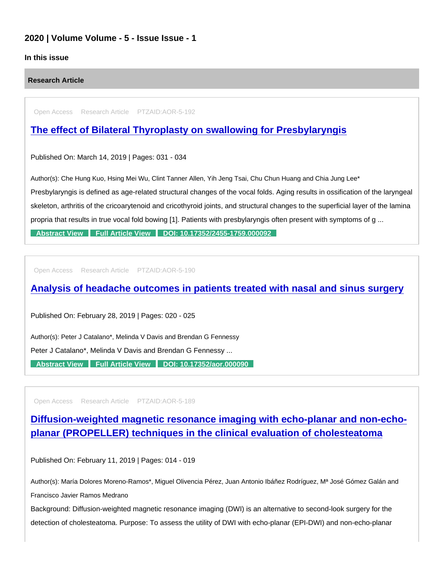### 2020 | Volume Volume - 5 - Issue Issue - 1

#### In this issue

Research Article

Open Access Research Article PTZAID:AOR-5-192

## [The effect of Bilateral Thyroplasty on swallowing for Presbylaryngis](https://www.peertechzpublications.com/articles/the-effect-of-bilateral-thyroplasty-on-swallowing-for-presbylaryngis)

Published On: March 14, 2019 | Pages: 031 - 034

Author(s): Che Hung Kuo, Hsing Mei Wu, Clint Tanner Allen, Yih Jeng Tsai, Chu Chun Huang and Chia Jung Lee\*

Presbylaryngis is defined as age-related structural changes of the vocal folds. Aging results in ossification of the laryngeal skeleton, arthritis of the cricoarytenoid and cricothyroid joints, and structural changes to the superficial layer of the lamina propria that results in true vocal fold bowing [1]. Patients with presbylaryngis often present with symptoms of g ...

[Abstract View](https://www.peertechzpublications.com/abstracts/the-effect-of-bilateral-thyroplasty-on-swallowing-for-presbylaryngis) [Full Article View](https://www.peertechzpublications.com/articles/the-effect-of-bilateral-thyroplasty-on-swallowing-for-presbylaryngis) [DOI: 10.17352/2455-1759.000092](http://dx.doi.org/10.17352/2455-1759.000092)

Open Access Research Article PTZAID:AOR-5-190

[Analysis of headache outcomes in patients treated with nasal and sinus surgery](https://www.peertechzpublications.com/articles/analysis-of-headache-outcomes-in-patients-treated-with-nasal-and-sinus-surgery)

Published On: February 28, 2019 | Pages: 020 - 025

Author(s): Peter J Catalano\*, Melinda V Davis and Brendan G Fennessy

Peter J Catalano\*, Melinda V Davis and Brendan G Fennessy ...

[Abstract View](https://www.peertechzpublications.com/abstracts/analysis-of-headache-outcomes-in-patients-treated-with-nasal-and-sinus-surgery) [Full Article View](https://www.peertechzpublications.com/articles/analysis-of-headache-outcomes-in-patients-treated-with-nasal-and-sinus-surgery) [DOI: 10.17352/aor.000090](http://dx.doi.org/10.17352/aor.000090)

Open Access Research Article PTZAID:AOR-5-189

[Diffusion-weighted magnetic resonance imaging with echo-planar and non-echo](https://www.peertechzpublications.com/articles/diffusion-weighted-magnetic-resonance-imaging-with-echo-planar-and-non-echo-planar-propeller-techniques-in-the-clinical-evaluation-of-cholesteatoma)planar (PROPELLER) techniques in the clinical evaluation of cholesteatoma

Published On: February 11, 2019 | Pages: 014 - 019

Author(s): María Dolores Moreno-Ramos\*, Miguel Olivencia Pérez, Juan Antonio Ibáñez Rodríguez, Mª José Gómez Galán and Francisco Javier Ramos Medrano

Background: Diffusion-weighted magnetic resonance imaging (DWI) is an alternative to second-look surgery for the detection of cholesteatoma. Purpose: To assess the utility of DWI with echo-planar (EPI-DWI) and non-echo-planar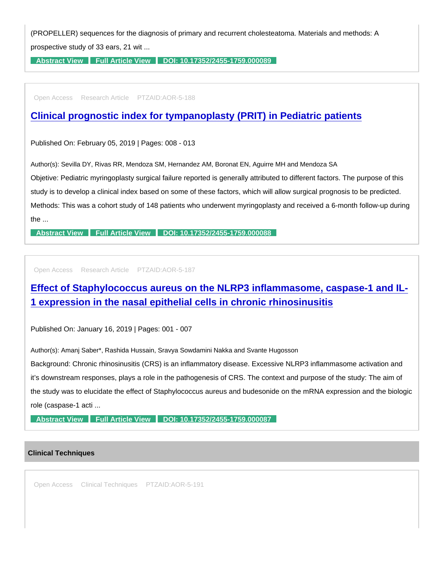(PROPELLER) sequences for the diagnosis of primary and recurrent cholesteatoma. Materials and methods: A prospective study of 33 ears, 21 wit ...

[Abstract View](https://www.peertechzpublications.com/abstracts/diffusion-weighted-magnetic-resonance-imaging-with-echo-planar-and-non-echo-planar-propeller-techniques-in-the-clinical-evaluation-of-cholesteatoma) [Full Article View](https://www.peertechzpublications.com/articles/diffusion-weighted-magnetic-resonance-imaging-with-echo-planar-and-non-echo-planar-propeller-techniques-in-the-clinical-evaluation-of-cholesteatoma) [DOI: 10.17352/2455-1759.000089](http://dx.doi.org/10.17352/2455-1759.000089)

Open Access Research Article PTZAID:AOR-5-188

[Clinical prognostic index for tympanoplasty \(PRIT\) in Pediatric patients](https://www.peertechzpublications.com/articles/clinical-prognostic-index-for-tympanoplasty-prit-in-pediatric-patients)

Published On: February 05, 2019 | Pages: 008 - 013

Author(s): Sevilla DY, Rivas RR, Mendoza SM, Hernandez AM, Boronat EN, Aguirre MH and Mendoza SA

Objetive: Pediatric myringoplasty surgical failure reported is generally attributed to different factors. The purpose of this study is to develop a clinical index based on some of these factors, which will allow surgical prognosis to be predicted. Methods: This was a cohort study of 148 patients who underwent myringoplasty and received a 6-month follow-up during the ...

[Abstract View](https://www.peertechzpublications.com/abstracts/clinical-prognostic-index-for-tympanoplasty-prit-in-pediatric-patients) [Full Article View](https://www.peertechzpublications.com/articles/clinical-prognostic-index-for-tympanoplasty-prit-in-pediatric-patients) [DOI: 10.17352/2455-1759.000088](http://dx.doi.org/10.17352/2455-1759.000088)

Open Access Research Article PTZAID:AOR-5-187

[Effect of Staphylococcus aureus on the NLRP3 inflammasome, caspase-1 and IL-](https://www.peertechzpublications.com/articles/effect-of-staphylococcus-aureus-on-the-nlrp3-inflammasome-caspase-1-and-il-1-expression-in-the-nasal-epithelial-cells-in-chronic-rhinosinusitis)1 expression in the nasal epithelial cells in chronic rhinosinusitis

Published On: January 16, 2019 | Pages: 001 - 007

Author(s): Amanj Saber\*, Rashida Hussain, Sravya Sowdamini Nakka and Svante Hugosson

Background: Chronic rhinosinusitis (CRS) is an inflammatory disease. Excessive NLRP3 inflammasome activation and it's downstream responses, plays a role in the pathogenesis of CRS. The context and purpose of the study: The aim of the study was to elucidate the effect of Staphylococcus aureus and budesonide on the mRNA expression and the biologic role (caspase-1 acti ...

[Abstract View](https://www.peertechzpublications.com/abstracts/effect-of-staphylococcus-aureus-on-the-nlrp3-inflammasome-caspase-1-and-il-1-expression-in-the-nasal-epithelial-cells-in-chronic-rhinosinusitis) [Full Article View](https://www.peertechzpublications.com/articles/effect-of-staphylococcus-aureus-on-the-nlrp3-inflammasome-caspase-1-and-il-1-expression-in-the-nasal-epithelial-cells-in-chronic-rhinosinusitis) [DOI: 10.17352/2455-1759.000087](http://dx.doi.org/10.17352/2455-1759.000087)

#### Clinical Techniques

Open Access Clinical Techniques PTZAID:AOR-5-191